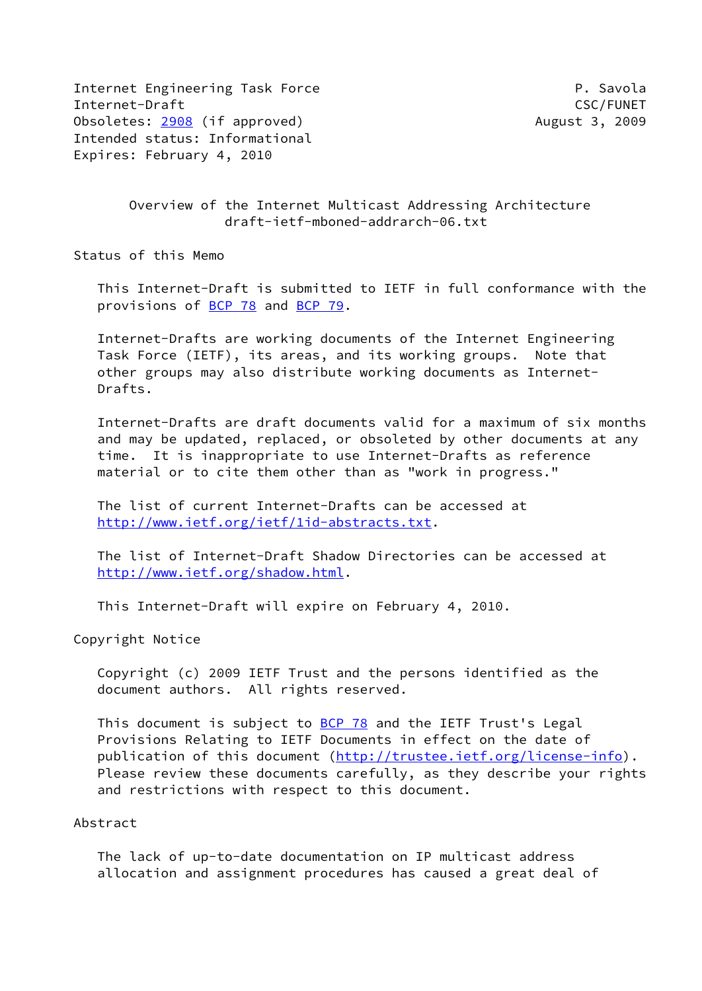Internet Engineering Task Force **P. Savola** Internet-Draft CSC/FUNET Obsoletes: [2908](https://datatracker.ietf.org/doc/pdf/rfc2908) (if approved) and the control of the August 3, 2009 Intended status: Informational Expires: February 4, 2010

 Overview of the Internet Multicast Addressing Architecture draft-ietf-mboned-addrarch-06.txt

Status of this Memo

 This Internet-Draft is submitted to IETF in full conformance with the provisions of [BCP 78](https://datatracker.ietf.org/doc/pdf/bcp78) and [BCP 79](https://datatracker.ietf.org/doc/pdf/bcp79).

 Internet-Drafts are working documents of the Internet Engineering Task Force (IETF), its areas, and its working groups. Note that other groups may also distribute working documents as Internet- Drafts.

 Internet-Drafts are draft documents valid for a maximum of six months and may be updated, replaced, or obsoleted by other documents at any time. It is inappropriate to use Internet-Drafts as reference material or to cite them other than as "work in progress."

 The list of current Internet-Drafts can be accessed at <http://www.ietf.org/ietf/1id-abstracts.txt>.

 The list of Internet-Draft Shadow Directories can be accessed at <http://www.ietf.org/shadow.html>.

This Internet-Draft will expire on February 4, 2010.

Copyright Notice

 Copyright (c) 2009 IETF Trust and the persons identified as the document authors. All rights reserved.

 This document is subject to [BCP 78](https://datatracker.ietf.org/doc/pdf/bcp78) and the IETF Trust's Legal Provisions Relating to IETF Documents in effect on the date of publication of this document [\(http://trustee.ietf.org/license-info](http://trustee.ietf.org/license-info)). Please review these documents carefully, as they describe your rights and restrictions with respect to this document.

#### Abstract

 The lack of up-to-date documentation on IP multicast address allocation and assignment procedures has caused a great deal of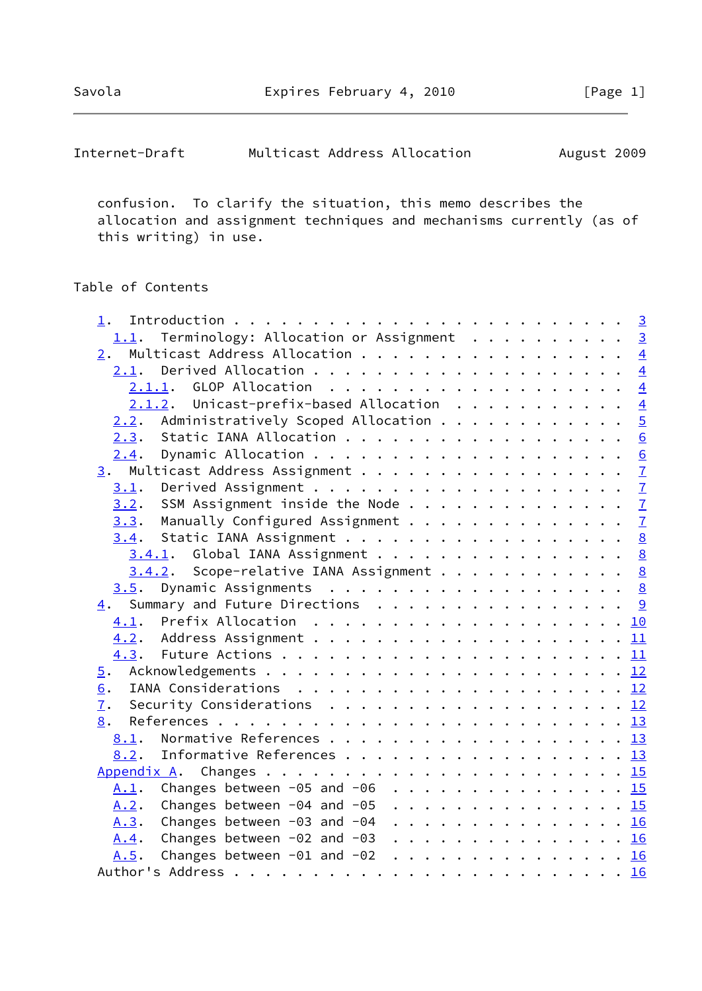| Internet-Draft | Multicast Address Allocation |  | August 2009 |  |
|----------------|------------------------------|--|-------------|--|
|----------------|------------------------------|--|-------------|--|

 confusion. To clarify the situation, this memo describes the allocation and assignment techniques and mechanisms currently (as of this writing) in use.

# Table of Contents

| 1.                                                                                                          |  |
|-------------------------------------------------------------------------------------------------------------|--|
| 1.1. Terminology: Allocation or Assignment 3                                                                |  |
| $\underline{2}$ . Multicast Address Allocation 4                                                            |  |
| 2.1.                                                                                                        |  |
|                                                                                                             |  |
| $2.1.2$ . Unicast-prefix-based Allocation $4$                                                               |  |
| $2.2$ . Administratively Scoped Allocation 5                                                                |  |
| Static IANA Allocation 6<br>2.3.                                                                            |  |
| 2.4.                                                                                                        |  |
| 3. Multicast Address Assignment 7                                                                           |  |
| 3.1.                                                                                                        |  |
| <u>3.2</u> . SSM Assignment inside the Node <u>7</u>                                                        |  |
| $3.3$ . Manually Configured Assignment $\frac{7}{2}$                                                        |  |
| 3.4. Static IANA Assignment 8                                                                               |  |
| 3.4.1. Global IANA Assignment 8                                                                             |  |
| $3.4.2$ . Scope-relative IANA Assignment 8                                                                  |  |
| 3.5.                                                                                                        |  |
| 4. Summary and Future Directions 9                                                                          |  |
|                                                                                                             |  |
|                                                                                                             |  |
|                                                                                                             |  |
| $\overline{5}$ .                                                                                            |  |
| 6.                                                                                                          |  |
| Security Considerations $\ldots \ldots \ldots \ldots \ldots \ldots \ldots \frac{12}{2}$<br>$\overline{1}$ . |  |
| 8.                                                                                                          |  |
| 8.1.                                                                                                        |  |
| Informative References 13<br>8.2.                                                                           |  |
|                                                                                                             |  |
| A.1. Changes between -05 and -06 15                                                                         |  |
| Changes between -04 and -05 15<br>A.2.                                                                      |  |
| Changes between -03 and -04 16<br>A.3.                                                                      |  |
| Changes between $-02$ and $-03$ 16<br><u>A.4</u> .                                                          |  |
| Changes between $-01$ and $-02$ 16<br>A.5.                                                                  |  |
|                                                                                                             |  |
|                                                                                                             |  |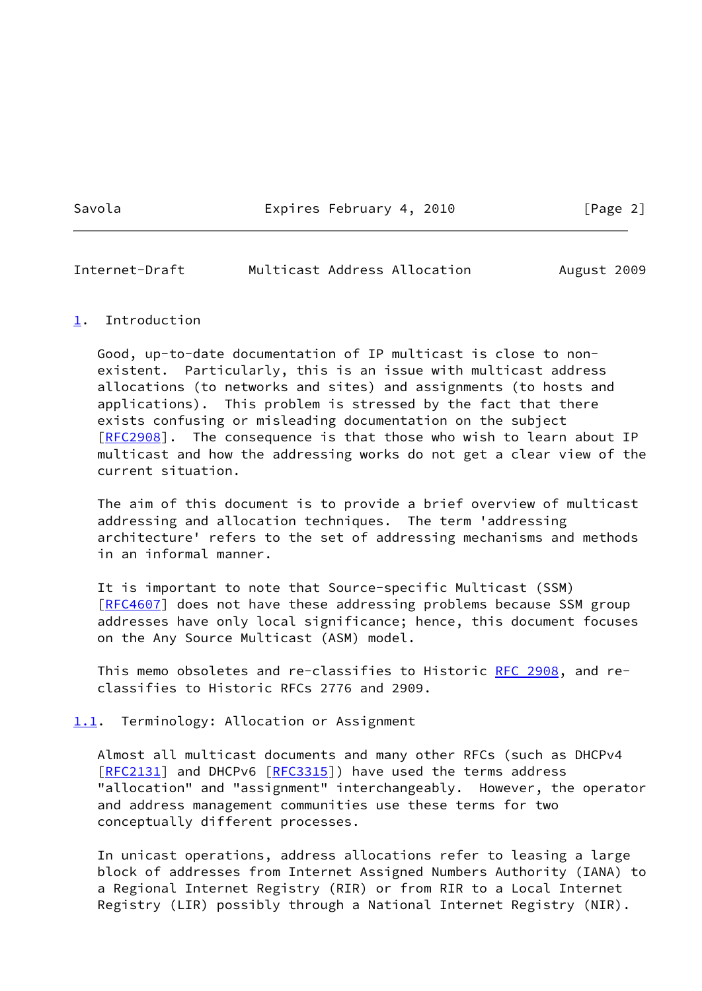Savola **Expires February 4, 2010** [Page 2]

### <span id="page-2-1"></span>Internet-Draft Multicast Address Allocation August 2009

#### <span id="page-2-0"></span>[1](#page-2-0). Introduction

 Good, up-to-date documentation of IP multicast is close to non existent. Particularly, this is an issue with multicast address allocations (to networks and sites) and assignments (to hosts and applications). This problem is stressed by the fact that there exists confusing or misleading documentation on the subject [\[RFC2908](https://datatracker.ietf.org/doc/pdf/rfc2908)]. The consequence is that those who wish to learn about IP multicast and how the addressing works do not get a clear view of the current situation.

 The aim of this document is to provide a brief overview of multicast addressing and allocation techniques. The term 'addressing architecture' refers to the set of addressing mechanisms and methods in an informal manner.

 It is important to note that Source-specific Multicast (SSM) [\[RFC4607](https://datatracker.ietf.org/doc/pdf/rfc4607)] does not have these addressing problems because SSM group addresses have only local significance; hence, this document focuses on the Any Source Multicast (ASM) model.

This memo obsoletes and re-classifies to Historic [RFC 2908](https://datatracker.ietf.org/doc/pdf/rfc2908), and reclassifies to Historic RFCs 2776 and 2909.

<span id="page-2-2"></span>[1.1](#page-2-2). Terminology: Allocation or Assignment

 Almost all multicast documents and many other RFCs (such as DHCPv4 [\[RFC2131](https://datatracker.ietf.org/doc/pdf/rfc2131)] and DHCPv6 [\[RFC3315](https://datatracker.ietf.org/doc/pdf/rfc3315)]) have used the terms address "allocation" and "assignment" interchangeably. However, the operator and address management communities use these terms for two conceptually different processes.

 In unicast operations, address allocations refer to leasing a large block of addresses from Internet Assigned Numbers Authority (IANA) to a Regional Internet Registry (RIR) or from RIR to a Local Internet Registry (LIR) possibly through a National Internet Registry (NIR).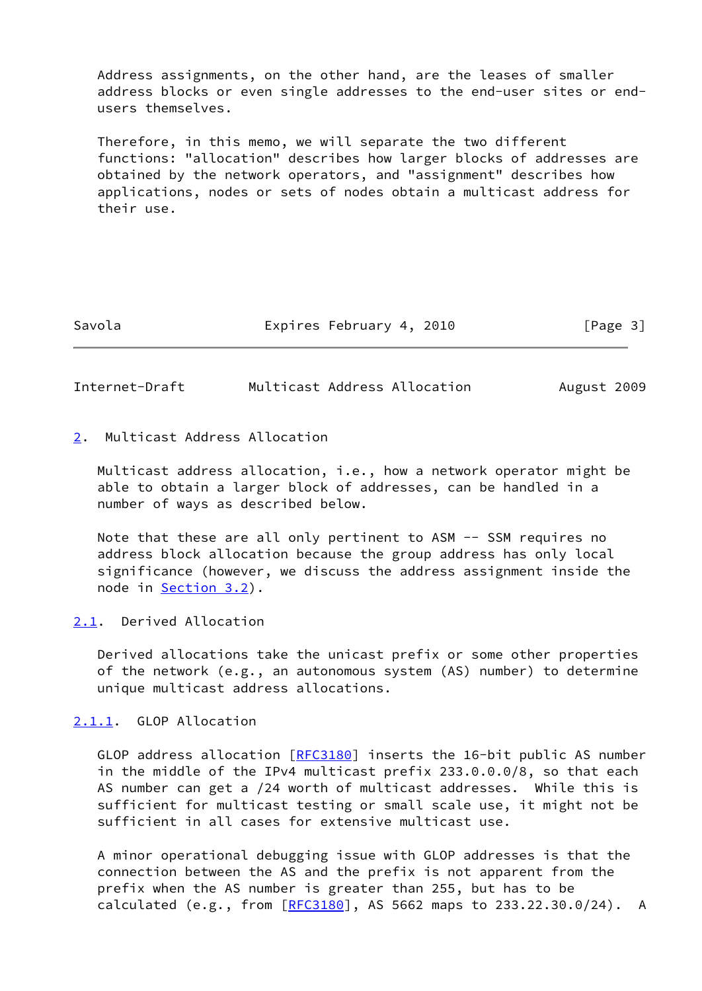Address assignments, on the other hand, are the leases of smaller address blocks or even single addresses to the end-user sites or end users themselves.

 Therefore, in this memo, we will separate the two different functions: "allocation" describes how larger blocks of addresses are obtained by the network operators, and "assignment" describes how applications, nodes or sets of nodes obtain a multicast address for their use.

Savola **Expires February 4, 2010** [Page 3]

<span id="page-3-1"></span>Internet-Draft Multicast Address Allocation August 2009

## <span id="page-3-0"></span>[2](#page-3-0). Multicast Address Allocation

 Multicast address allocation, i.e., how a network operator might be able to obtain a larger block of addresses, can be handled in a number of ways as described below.

Note that these are all only pertinent to ASM -- SSM requires no address block allocation because the group address has only local significance (however, we discuss the address assignment inside the node in [Section 3.2](#page-7-1)).

### <span id="page-3-2"></span>[2.1](#page-3-2). Derived Allocation

 Derived allocations take the unicast prefix or some other properties of the network (e.g., an autonomous system (AS) number) to determine unique multicast address allocations.

<span id="page-3-3"></span>[2.1.1](#page-3-3). GLOP Allocation

GLOP address allocation [\[RFC3180](https://datatracker.ietf.org/doc/pdf/rfc3180)] inserts the 16-bit public AS number in the middle of the IPv4 multicast prefix 233.0.0.0/8, so that each AS number can get a /24 worth of multicast addresses. While this is sufficient for multicast testing or small scale use, it might not be sufficient in all cases for extensive multicast use.

 A minor operational debugging issue with GLOP addresses is that the connection between the AS and the prefix is not apparent from the prefix when the AS number is greater than 255, but has to be calculated (e.g., from  $[REC3180]$ , AS 5662 maps to 233.22.30.0/24). A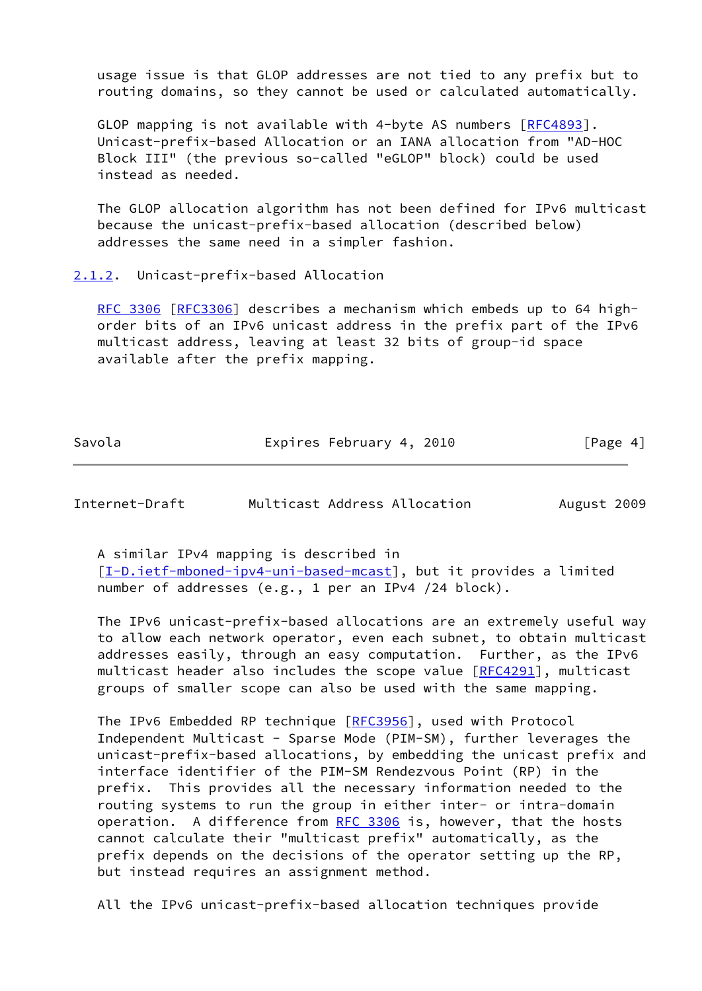usage issue is that GLOP addresses are not tied to any prefix but to routing domains, so they cannot be used or calculated automatically.

GLOP mapping is not available with 4-byte AS numbers [\[RFC4893](https://datatracker.ietf.org/doc/pdf/rfc4893)]. Unicast-prefix-based Allocation or an IANA allocation from "AD-HOC Block III" (the previous so-called "eGLOP" block) could be used instead as needed.

 The GLOP allocation algorithm has not been defined for IPv6 multicast because the unicast-prefix-based allocation (described below) addresses the same need in a simpler fashion.

#### <span id="page-4-0"></span>[2.1.2](#page-4-0). Unicast-prefix-based Allocation

[RFC 3306](https://datatracker.ietf.org/doc/pdf/rfc3306) [\[RFC3306](https://datatracker.ietf.org/doc/pdf/rfc3306)] describes a mechanism which embeds up to 64 high order bits of an IPv6 unicast address in the prefix part of the IPv6 multicast address, leaving at least 32 bits of group-id space available after the prefix mapping.

Savola **Expires February 4, 2010** [Page 4]

<span id="page-4-1"></span>Internet-Draft Multicast Address Allocation August 2009

 A similar IPv4 mapping is described in [\[I-D.ietf-mboned-ipv4-uni-based-mcast](#page-13-4)], but it provides a limited number of addresses (e.g., 1 per an IPv4 /24 block).

 The IPv6 unicast-prefix-based allocations are an extremely useful way to allow each network operator, even each subnet, to obtain multicast addresses easily, through an easy computation. Further, as the IPv6 multicast header also includes the scope value  $[REC4291]$ , multicast groups of smaller scope can also be used with the same mapping.

The IPv6 Embedded RP technique [\[RFC3956](https://datatracker.ietf.org/doc/pdf/rfc3956)], used with Protocol Independent Multicast - Sparse Mode (PIM-SM), further leverages the unicast-prefix-based allocations, by embedding the unicast prefix and interface identifier of the PIM-SM Rendezvous Point (RP) in the prefix. This provides all the necessary information needed to the routing systems to run the group in either inter- or intra-domain operation. A difference from [RFC 3306](https://datatracker.ietf.org/doc/pdf/rfc3306) is, however, that the hosts cannot calculate their "multicast prefix" automatically, as the prefix depends on the decisions of the operator setting up the RP, but instead requires an assignment method.

All the IPv6 unicast-prefix-based allocation techniques provide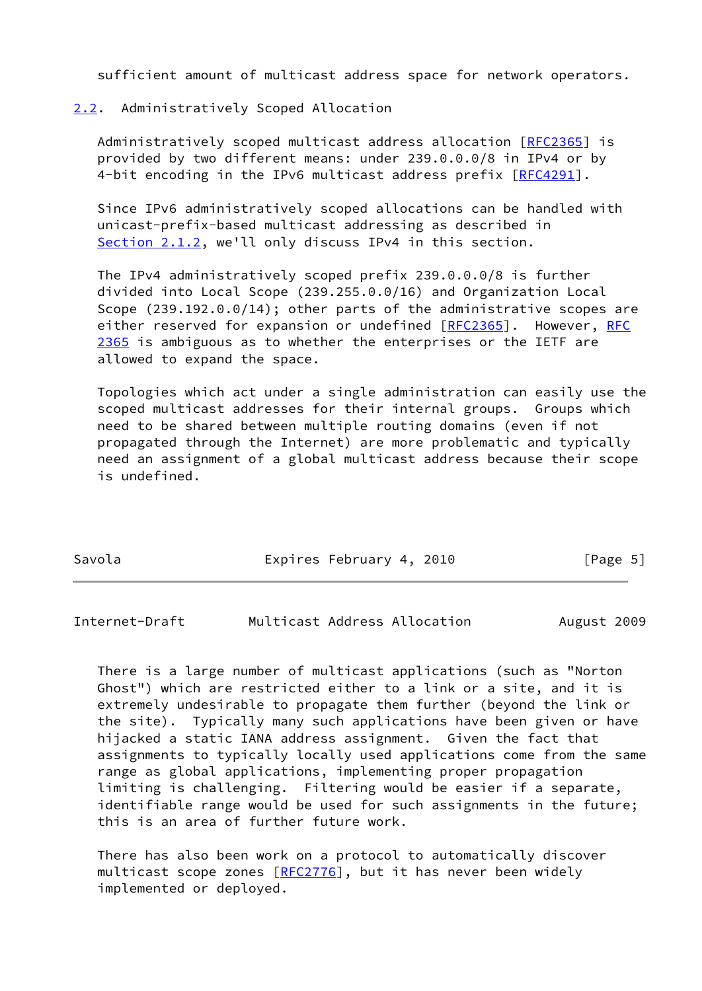sufficient amount of multicast address space for network operators.

### <span id="page-5-0"></span>[2.2](#page-5-0). Administratively Scoped Allocation

 Administratively scoped multicast address allocation [\[RFC2365](https://datatracker.ietf.org/doc/pdf/rfc2365)] is provided by two different means: under 239.0.0.0/8 in IPv4 or by 4-bit encoding in the IPv6 multicast address prefix [\[RFC4291](https://datatracker.ietf.org/doc/pdf/rfc4291)].

 Since IPv6 administratively scoped allocations can be handled with unicast-prefix-based multicast addressing as described in [Section 2.1.2](#page-4-0), we'll only discuss IPv4 in this section.

 The IPv4 administratively scoped prefix 239.0.0.0/8 is further divided into Local Scope (239.255.0.0/16) and Organization Local Scope (239.192.0.0/14); other parts of the administrative scopes are either reserved for expansion or undefined [[RFC2365\]](https://datatracker.ietf.org/doc/pdf/rfc2365). However, [RFC](https://datatracker.ietf.org/doc/pdf/rfc2365) [2365](https://datatracker.ietf.org/doc/pdf/rfc2365) is ambiguous as to whether the enterprises or the IETF are allowed to expand the space.

 Topologies which act under a single administration can easily use the scoped multicast addresses for their internal groups. Groups which need to be shared between multiple routing domains (even if not propagated through the Internet) are more problematic and typically need an assignment of a global multicast address because their scope is undefined.

| Savola | Expires February 4, 2010 | [Page 5] |
|--------|--------------------------|----------|
|        |                          |          |

<span id="page-5-1"></span>Internet-Draft Multicast Address Allocation August 2009

 There is a large number of multicast applications (such as "Norton Ghost") which are restricted either to a link or a site, and it is extremely undesirable to propagate them further (beyond the link or the site). Typically many such applications have been given or have hijacked a static IANA address assignment. Given the fact that assignments to typically locally used applications come from the same range as global applications, implementing proper propagation limiting is challenging. Filtering would be easier if a separate, identifiable range would be used for such assignments in the future; this is an area of further future work.

 There has also been work on a protocol to automatically discover multicast scope zones [[RFC2776](https://datatracker.ietf.org/doc/pdf/rfc2776)], but it has never been widely implemented or deployed.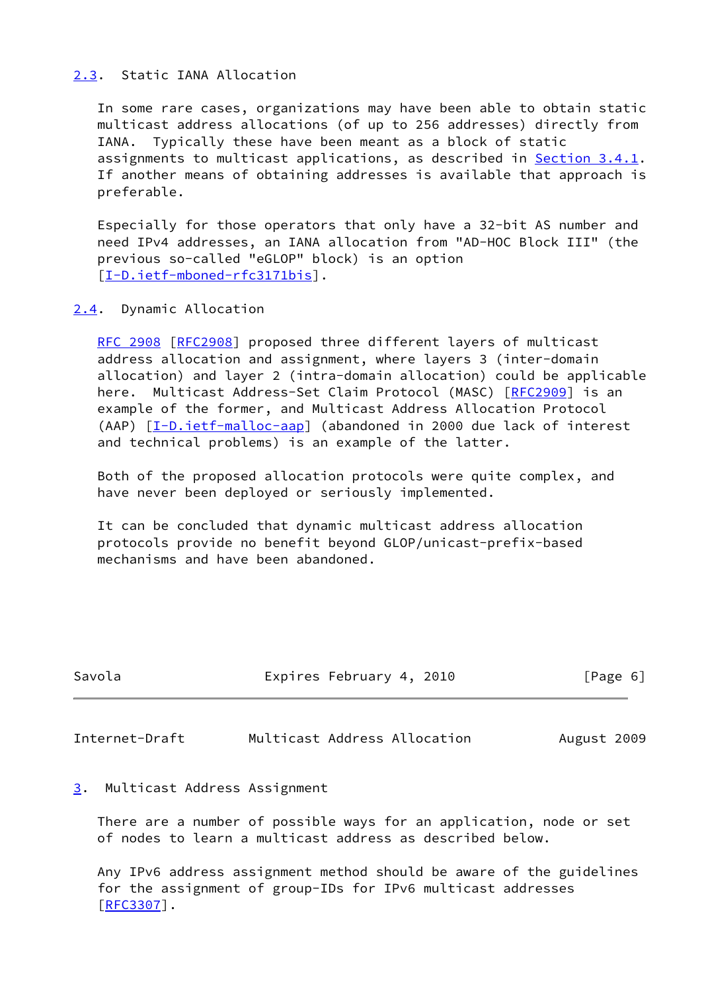### <span id="page-6-0"></span>[2.3](#page-6-0). Static IANA Allocation

 In some rare cases, organizations may have been able to obtain static multicast address allocations (of up to 256 addresses) directly from IANA. Typically these have been meant as a block of static assignments to multicast applications, as described in [Section 3.4.1.](#page-8-1) If another means of obtaining addresses is available that approach is preferable.

 Especially for those operators that only have a 32-bit AS number and need IPv4 addresses, an IANA allocation from "AD-HOC Block III" (the previous so-called "eGLOP" block) is an option [\[I-D.ietf-mboned-rfc3171bis\]](#page-13-5).

### <span id="page-6-1"></span>[2.4](#page-6-1). Dynamic Allocation

 [RFC 2908](https://datatracker.ietf.org/doc/pdf/rfc2908) [\[RFC2908](https://datatracker.ietf.org/doc/pdf/rfc2908)] proposed three different layers of multicast address allocation and assignment, where layers 3 (inter-domain allocation) and layer 2 (intra-domain allocation) could be applicable here. Multicast Address-Set Claim Protocol (MASC) [[RFC2909\]](https://datatracker.ietf.org/doc/pdf/rfc2909) is an example of the former, and Multicast Address Allocation Protocol (AAP) [[I-D.ietf-malloc-aap](#page-14-1)] (abandoned in 2000 due lack of interest and technical problems) is an example of the latter.

 Both of the proposed allocation protocols were quite complex, and have never been deployed or seriously implemented.

 It can be concluded that dynamic multicast address allocation protocols provide no benefit beyond GLOP/unicast-prefix-based mechanisms and have been abandoned.

| Savola | Expires February 4, 2010 | [Page 6] |
|--------|--------------------------|----------|
|        |                          |          |

<span id="page-6-3"></span>Internet-Draft Multicast Address Allocation August 2009

### <span id="page-6-2"></span>[3](#page-6-2). Multicast Address Assignment

 There are a number of possible ways for an application, node or set of nodes to learn a multicast address as described below.

 Any IPv6 address assignment method should be aware of the guidelines for the assignment of group-IDs for IPv6 multicast addresses [\[RFC3307](https://datatracker.ietf.org/doc/pdf/rfc3307)].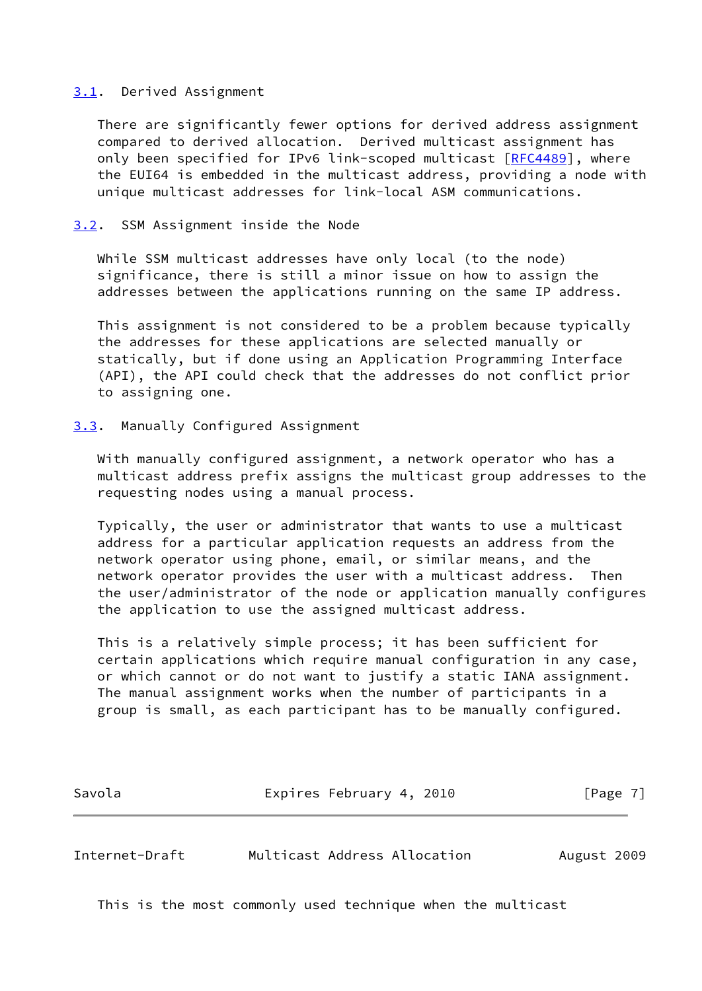#### <span id="page-7-0"></span>[3.1](#page-7-0). Derived Assignment

 There are significantly fewer options for derived address assignment compared to derived allocation. Derived multicast assignment has only been specified for IPv6 link-scoped multicast [[RFC4489\]](https://datatracker.ietf.org/doc/pdf/rfc4489), where the EUI64 is embedded in the multicast address, providing a node with unique multicast addresses for link-local ASM communications.

#### <span id="page-7-1"></span>[3.2](#page-7-1). SSM Assignment inside the Node

 While SSM multicast addresses have only local (to the node) significance, there is still a minor issue on how to assign the addresses between the applications running on the same IP address.

 This assignment is not considered to be a problem because typically the addresses for these applications are selected manually or statically, but if done using an Application Programming Interface (API), the API could check that the addresses do not conflict prior to assigning one.

#### <span id="page-7-2"></span>[3.3](#page-7-2). Manually Configured Assignment

 With manually configured assignment, a network operator who has a multicast address prefix assigns the multicast group addresses to the requesting nodes using a manual process.

 Typically, the user or administrator that wants to use a multicast address for a particular application requests an address from the network operator using phone, email, or similar means, and the network operator provides the user with a multicast address. Then the user/administrator of the node or application manually configures the application to use the assigned multicast address.

 This is a relatively simple process; it has been sufficient for certain applications which require manual configuration in any case, or which cannot or do not want to justify a static IANA assignment. The manual assignment works when the number of participants in a group is small, as each participant has to be manually configured.

Savola **Expires February 4, 2010** [Page 7]

<span id="page-7-3"></span>Internet-Draft Multicast Address Allocation August 2009

This is the most commonly used technique when the multicast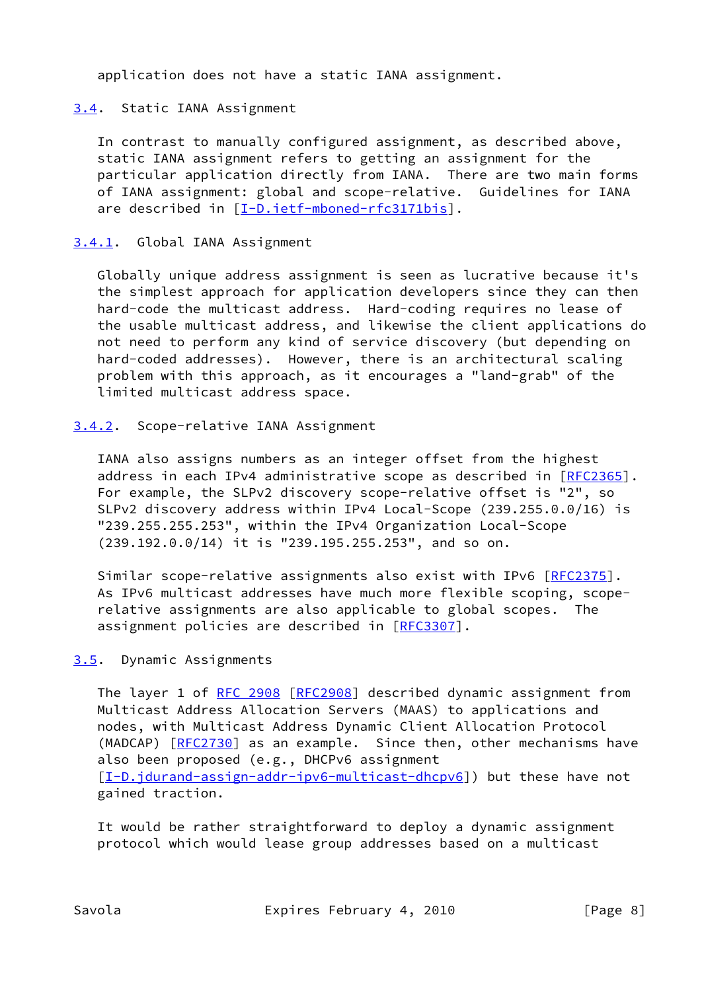application does not have a static IANA assignment.

### <span id="page-8-0"></span>[3.4](#page-8-0). Static IANA Assignment

 In contrast to manually configured assignment, as described above, static IANA assignment refers to getting an assignment for the particular application directly from IANA. There are two main forms of IANA assignment: global and scope-relative. Guidelines for IANA are described in [\[I-D.ietf-mboned-rfc3171bis\]](#page-13-5).

### <span id="page-8-1"></span>[3.4.1](#page-8-1). Global IANA Assignment

 Globally unique address assignment is seen as lucrative because it's the simplest approach for application developers since they can then hard-code the multicast address. Hard-coding requires no lease of the usable multicast address, and likewise the client applications do not need to perform any kind of service discovery (but depending on hard-coded addresses). However, there is an architectural scaling problem with this approach, as it encourages a "land-grab" of the limited multicast address space.

### <span id="page-8-2"></span>[3.4.2](#page-8-2). Scope-relative IANA Assignment

 IANA also assigns numbers as an integer offset from the highest address in each IPv4 administrative scope as described in [[RFC2365](https://datatracker.ietf.org/doc/pdf/rfc2365)]. For example, the SLPv2 discovery scope-relative offset is "2", so SLPv2 discovery address within IPv4 Local-Scope (239.255.0.0/16) is "239.255.255.253", within the IPv4 Organization Local-Scope (239.192.0.0/14) it is "239.195.255.253", and so on.

 Similar scope-relative assignments also exist with IPv6 [\[RFC2375](https://datatracker.ietf.org/doc/pdf/rfc2375)]. As IPv6 multicast addresses have much more flexible scoping, scope relative assignments are also applicable to global scopes. The assignment policies are described in [\[RFC3307](https://datatracker.ietf.org/doc/pdf/rfc3307)].

### <span id="page-8-3"></span>[3.5](#page-8-3). Dynamic Assignments

The layer 1 of [RFC 2908 \[RFC2908](https://datatracker.ietf.org/doc/pdf/rfc2908)] described dynamic assignment from Multicast Address Allocation Servers (MAAS) to applications and nodes, with Multicast Address Dynamic Client Allocation Protocol (MADCAP) [\[RFC2730](https://datatracker.ietf.org/doc/pdf/rfc2730)] as an example. Since then, other mechanisms have also been proposed (e.g., DHCPv6 assignment [\[I-D.jdurand-assign-addr-ipv6-multicast-dhcpv6](#page-14-2)]) but these have not gained traction.

 It would be rather straightforward to deploy a dynamic assignment protocol which would lease group addresses based on a multicast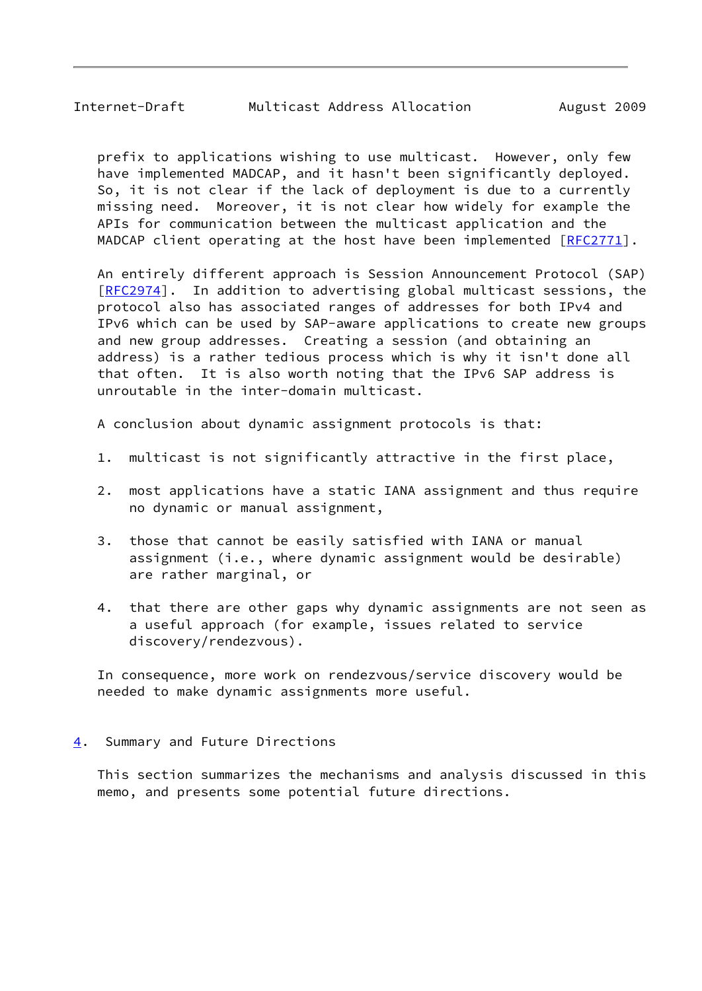<span id="page-9-1"></span> prefix to applications wishing to use multicast. However, only few have implemented MADCAP, and it hasn't been significantly deployed. So, it is not clear if the lack of deployment is due to a currently missing need. Moreover, it is not clear how widely for example the APIs for communication between the multicast application and the MADCAP client operating at the host have been implemented [[RFC2771](https://datatracker.ietf.org/doc/pdf/rfc2771)].

 An entirely different approach is Session Announcement Protocol (SAP) [\[RFC2974](https://datatracker.ietf.org/doc/pdf/rfc2974)]. In addition to advertising global multicast sessions, the protocol also has associated ranges of addresses for both IPv4 and IPv6 which can be used by SAP-aware applications to create new groups and new group addresses. Creating a session (and obtaining an address) is a rather tedious process which is why it isn't done all that often. It is also worth noting that the IPv6 SAP address is unroutable in the inter-domain multicast.

A conclusion about dynamic assignment protocols is that:

- 1. multicast is not significantly attractive in the first place,
- 2. most applications have a static IANA assignment and thus require no dynamic or manual assignment,
- 3. those that cannot be easily satisfied with IANA or manual assignment (i.e., where dynamic assignment would be desirable) are rather marginal, or
- 4. that there are other gaps why dynamic assignments are not seen as a useful approach (for example, issues related to service discovery/rendezvous).

 In consequence, more work on rendezvous/service discovery would be needed to make dynamic assignments more useful.

### <span id="page-9-0"></span>[4](#page-9-0). Summary and Future Directions

 This section summarizes the mechanisms and analysis discussed in this memo, and presents some potential future directions.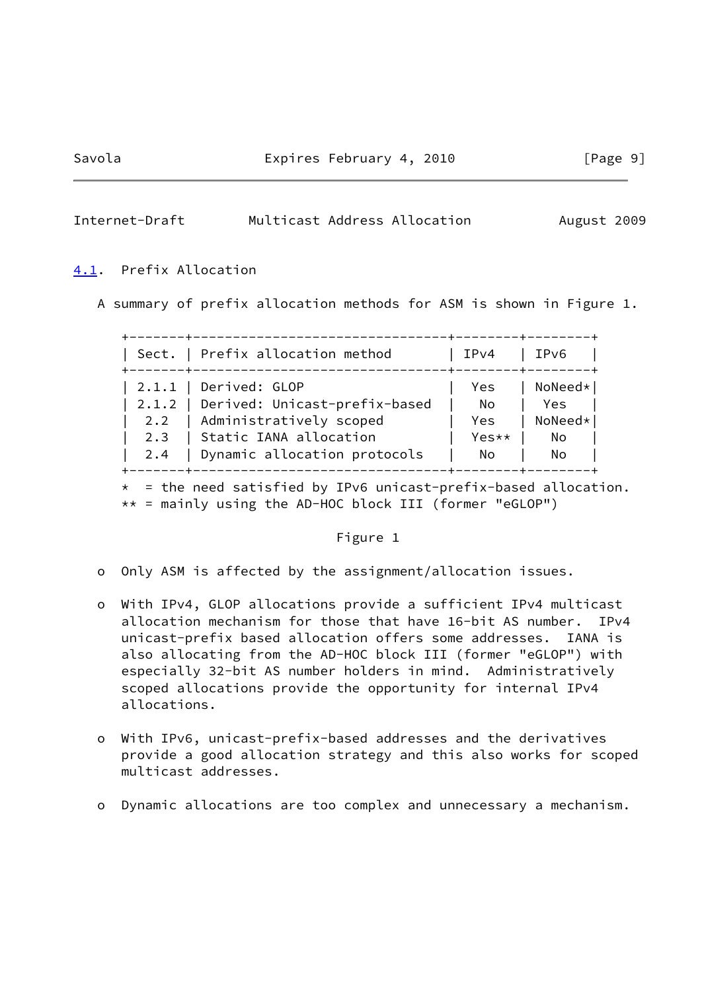#### <span id="page-10-1"></span>Internet-Draft Multicast Address Allocation August 2009

#### <span id="page-10-0"></span>[4.1](#page-10-0). Prefix Allocation

A summary of prefix allocation methods for ASM is shown in Figure 1.

|     | Sect.   Prefix allocation method<br>----------------- | IPv4  | IPv6      |
|-----|-------------------------------------------------------|-------|-----------|
|     | $  2.1.1  $ Derived: GLOP                             | Yes   | NoNeed*   |
|     | 2.1.2   Derived: Unicast-prefix-based                 | No.   | Yes       |
|     | 2.2   Administratively scoped                         | Yes.  | $NoNeed*$ |
|     | 2.3   Static IANA allocation                          | Yes** | No        |
| 2.4 | Dynamic allocation protocols                          | No.   | No        |

 $*$  = the need satisfied by IPv6 unicast-prefix-based allocation. \*\* = mainly using the AD-HOC block III (former "eGLOP")

#### Figure 1

- o Only ASM is affected by the assignment/allocation issues.
- o With IPv4, GLOP allocations provide a sufficient IPv4 multicast allocation mechanism for those that have 16-bit AS number. IPv4 unicast-prefix based allocation offers some addresses. IANA is also allocating from the AD-HOC block III (former "eGLOP") with especially 32-bit AS number holders in mind. Administratively scoped allocations provide the opportunity for internal IPv4 allocations.
- o With IPv6, unicast-prefix-based addresses and the derivatives provide a good allocation strategy and this also works for scoped multicast addresses.
- o Dynamic allocations are too complex and unnecessary a mechanism.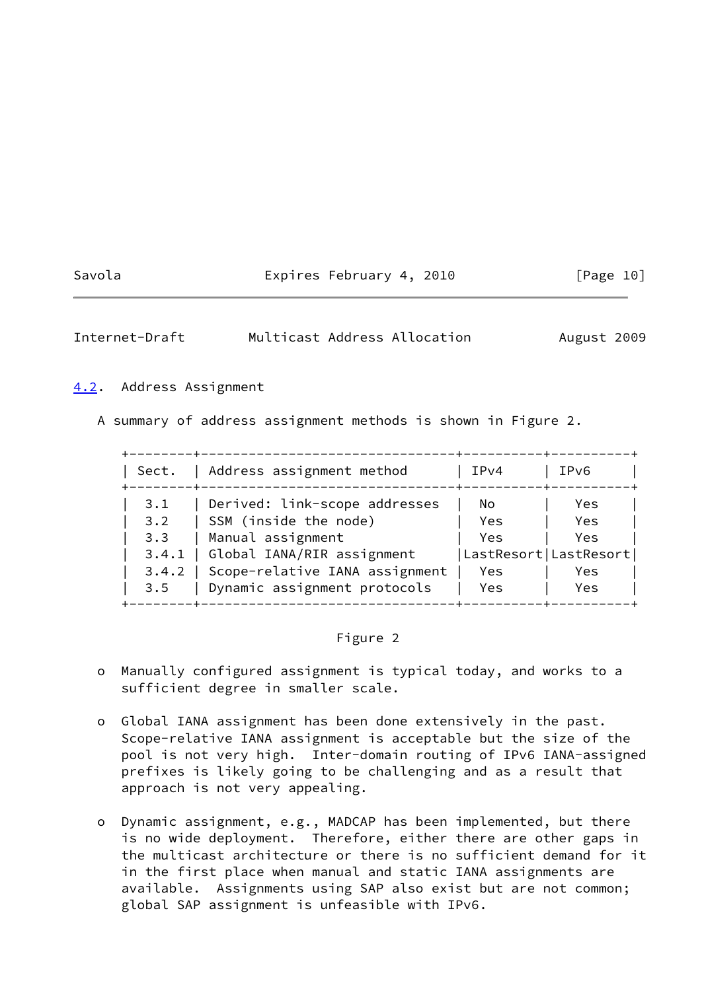## Savola **Expires February 4, 2010** [Page 10]

<span id="page-11-1"></span>Internet-Draft Multicast Address Allocation August 2009

#### <span id="page-11-0"></span>[4.2](#page-11-0). Address Assignment

A summary of address assignment methods is shown in Figure 2.

| Sect. | Address assignment method      | IPv4                  | IPv6 |
|-------|--------------------------------|-----------------------|------|
| 3.1   | Derived: link-scope addresses  | No.                   | Yes  |
| 3.2   | SSM (inside the node)          | Yes                   | Yes  |
| 3.3   | Manual assignment              | <b>Yes</b>            | Yes  |
| 3.4.1 | Global IANA/RIR assignment     | LastResort LastResort |      |
| 3.4.2 | Scope-relative IANA assignment | Yes                   | Yes  |
| 3.5   | Dynamic assignment protocols   | Yes.                  | Yes  |

# Figure 2

- o Manually configured assignment is typical today, and works to a sufficient degree in smaller scale.
- o Global IANA assignment has been done extensively in the past. Scope-relative IANA assignment is acceptable but the size of the pool is not very high. Inter-domain routing of IPv6 IANA-assigned prefixes is likely going to be challenging and as a result that approach is not very appealing.
- o Dynamic assignment, e.g., MADCAP has been implemented, but there is no wide deployment. Therefore, either there are other gaps in the multicast architecture or there is no sufficient demand for it in the first place when manual and static IANA assignments are available. Assignments using SAP also exist but are not common; global SAP assignment is unfeasible with IPv6.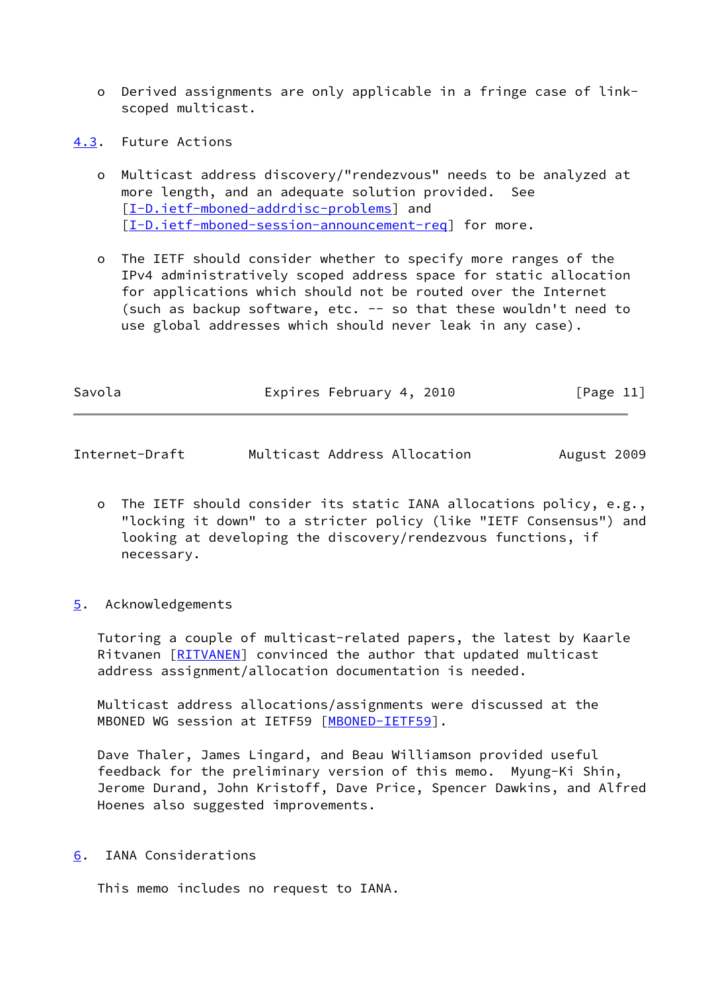- o Derived assignments are only applicable in a fringe case of link scoped multicast.
- <span id="page-12-0"></span>[4.3](#page-12-0). Future Actions
	- o Multicast address discovery/"rendezvous" needs to be analyzed at more length, and an adequate solution provided. See [[I-D.ietf-mboned-addrdisc-problems\]](#page-14-3) and [[I-D.ietf-mboned-session-announcement-req\]](#page-14-4) for more.
	- o The IETF should consider whether to specify more ranges of the IPv4 administratively scoped address space for static allocation for applications which should not be routed over the Internet (such as backup software, etc. -- so that these wouldn't need to use global addresses which should never leak in any case).

| Savola | Expires February 4, 2010 | [Page 11] |
|--------|--------------------------|-----------|
|        |                          |           |

- <span id="page-12-2"></span>Internet-Draft Multicast Address Allocation August 2009
	- o The IETF should consider its static IANA allocations policy, e.g., "locking it down" to a stricter policy (like "IETF Consensus") and looking at developing the discovery/rendezvous functions, if necessary.
- <span id="page-12-1"></span>[5](#page-12-1). Acknowledgements

 Tutoring a couple of multicast-related papers, the latest by Kaarle Ritvanen [\[RITVANEN](#page-16-3)] convinced the author that updated multicast address assignment/allocation documentation is needed.

 Multicast address allocations/assignments were discussed at the MBONED WG session at IETF59 [\[MBONED-IETF59](#page-15-1)].

 Dave Thaler, James Lingard, and Beau Williamson provided useful feedback for the preliminary version of this memo. Myung-Ki Shin, Jerome Durand, John Kristoff, Dave Price, Spencer Dawkins, and Alfred Hoenes also suggested improvements.

<span id="page-12-3"></span>[6](#page-12-3). IANA Considerations

This memo includes no request to IANA.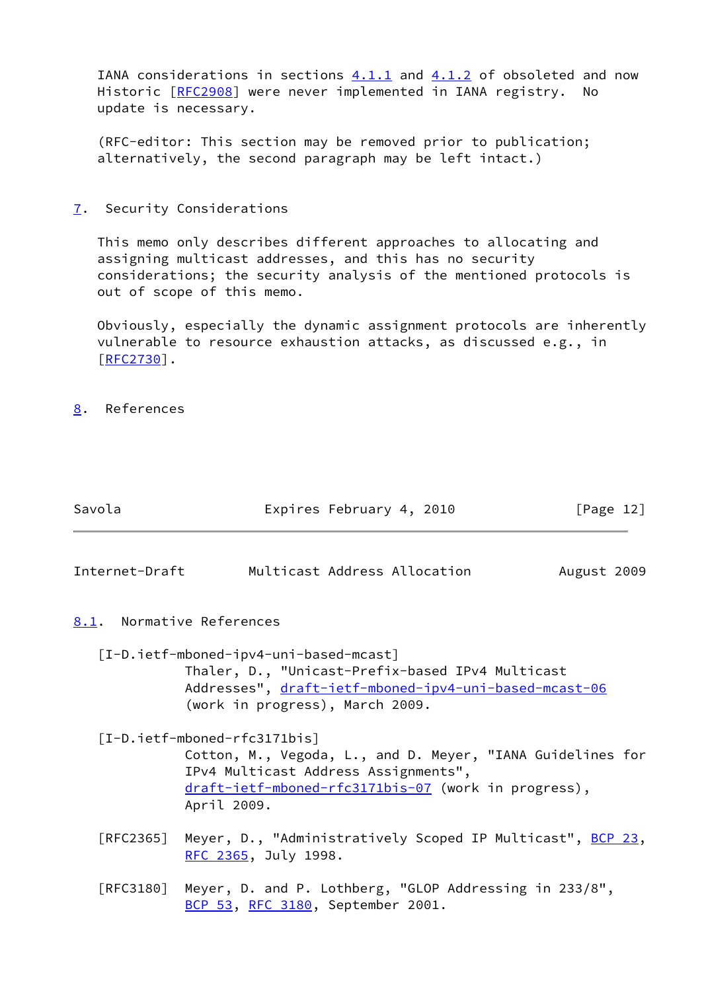IANA considerations in sections  $4.1.1$  and  $4.1.2$  of obsoleted and now Historic [\[RFC2908](https://datatracker.ietf.org/doc/pdf/rfc2908)] were never implemented in IANA registry. No update is necessary.

 (RFC-editor: This section may be removed prior to publication; alternatively, the second paragraph may be left intact.)

<span id="page-13-0"></span>[7](#page-13-0). Security Considerations

 This memo only describes different approaches to allocating and assigning multicast addresses, and this has no security considerations; the security analysis of the mentioned protocols is out of scope of this memo.

 Obviously, especially the dynamic assignment protocols are inherently vulnerable to resource exhaustion attacks, as discussed e.g., in [\[RFC2730](https://datatracker.ietf.org/doc/pdf/rfc2730)].

Savola **Expires February 4, 2010** [Page 12]

<span id="page-13-1"></span>[8](#page-13-1). References

<span id="page-13-5"></span><span id="page-13-4"></span><span id="page-13-3"></span><span id="page-13-2"></span>

| Internet-Draft | Multicast Address Allocation                                                                                                                 | August 2009 |
|----------------|----------------------------------------------------------------------------------------------------------------------------------------------|-------------|
|                | 8.1. Normative References                                                                                                                    |             |
|                | [I-D.ietf-mboned-ipv4-uni-based-mcast]                                                                                                       |             |
|                | Thaler, D., "Unicast-Prefix-based IPv4 Multicast<br>Addresses", draft-ietf-mboned-ipv4-uni-based-mcast-06<br>(work in progress), March 2009. |             |
|                | $[I-D.ietf-mboned-rfc3171bis]$                                                                                                               |             |
|                | Cotton, M., Vegoda, L., and D. Meyer, "IANA Guidelines for<br>IPv4 Multicast Address Assignments",                                           |             |
|                | draft-ietf-mboned-rfc3171bis-07 (work in progress),<br>April 2009.                                                                           |             |
| [RFC2365]      | Meyer, D., "Administratively Scoped IP Multicast", BCP 23,<br>RFC 2365, July 1998.                                                           |             |
| [RFC3180]      | Meyer, D. and P. Lothberg, "GLOP Addressing in 233/8",<br>BCP 53, RFC 3180, September 2001.                                                  |             |
|                |                                                                                                                                              |             |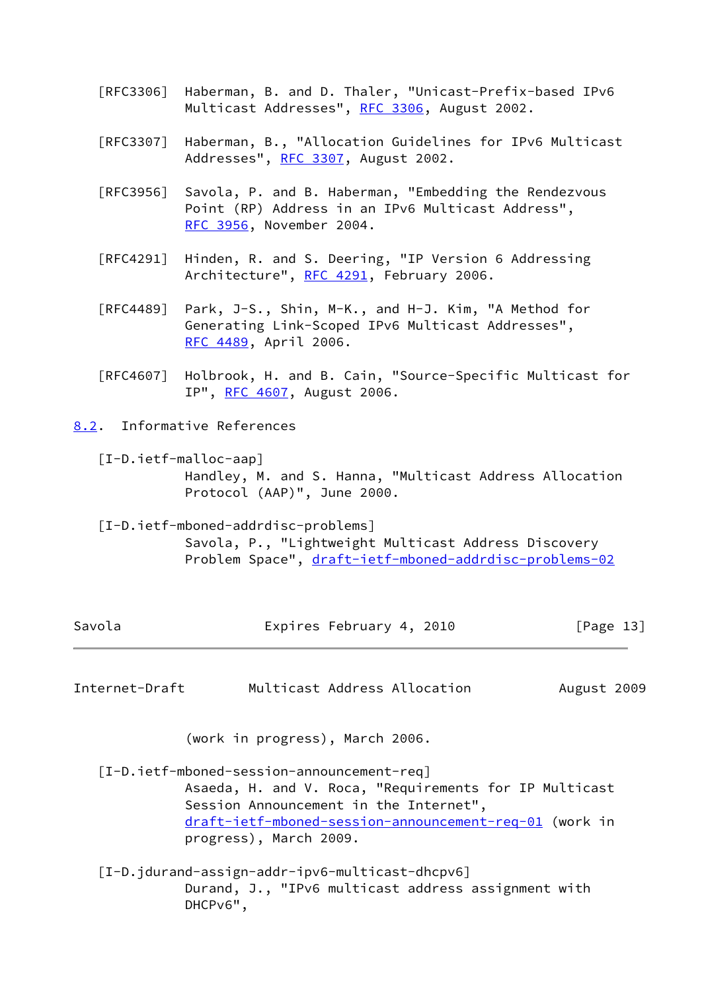- [RFC3306] Haberman, B. and D. Thaler, "Unicast-Prefix-based IPv6 Multicast Addresses", [RFC 3306](https://datatracker.ietf.org/doc/pdf/rfc3306), August 2002.
- [RFC3307] Haberman, B., "Allocation Guidelines for IPv6 Multicast Addresses", [RFC 3307,](https://datatracker.ietf.org/doc/pdf/rfc3307) August 2002.
- [RFC3956] Savola, P. and B. Haberman, "Embedding the Rendezvous Point (RP) Address in an IPv6 Multicast Address", [RFC 3956,](https://datatracker.ietf.org/doc/pdf/rfc3956) November 2004.
- [RFC4291] Hinden, R. and S. Deering, "IP Version 6 Addressing Architecture", [RFC 4291](https://datatracker.ietf.org/doc/pdf/rfc4291), February 2006.
- [RFC4489] Park, J-S., Shin, M-K., and H-J. Kim, "A Method for Generating Link-Scoped IPv6 Multicast Addresses", [RFC 4489,](https://datatracker.ietf.org/doc/pdf/rfc4489) April 2006.
- [RFC4607] Holbrook, H. and B. Cain, "Source-Specific Multicast for IP", [RFC 4607](https://datatracker.ietf.org/doc/pdf/rfc4607), August 2006.
- <span id="page-14-3"></span><span id="page-14-1"></span><span id="page-14-0"></span>[8.2](#page-14-0). Informative References
	- [I-D.ietf-malloc-aap] Handley, M. and S. Hanna, "Multicast Address Allocation Protocol (AAP)", June 2000.
	- [I-D.ietf-mboned-addrdisc-problems] Savola, P., "Lightweight Multicast Address Discovery Problem Space", [draft-ietf-mboned-addrdisc-problems-02](https://datatracker.ietf.org/doc/pdf/draft-ietf-mboned-addrdisc-problems-02)

| Savola | Expires February 4, 2010 | [Page 13] |
|--------|--------------------------|-----------|
|--------|--------------------------|-----------|

Internet-Draft Multicast Address Allocation August 2009

(work in progress), March 2006.

<span id="page-14-4"></span> [I-D.ietf-mboned-session-announcement-req] Asaeda, H. and V. Roca, "Requirements for IP Multicast Session Announcement in the Internet", [draft-ietf-mboned-session-announcement-req-01](https://datatracker.ietf.org/doc/pdf/draft-ietf-mboned-session-announcement-req-01) (work in progress), March 2009.

<span id="page-14-2"></span> [I-D.jdurand-assign-addr-ipv6-multicast-dhcpv6] Durand, J., "IPv6 multicast address assignment with DHCPv6",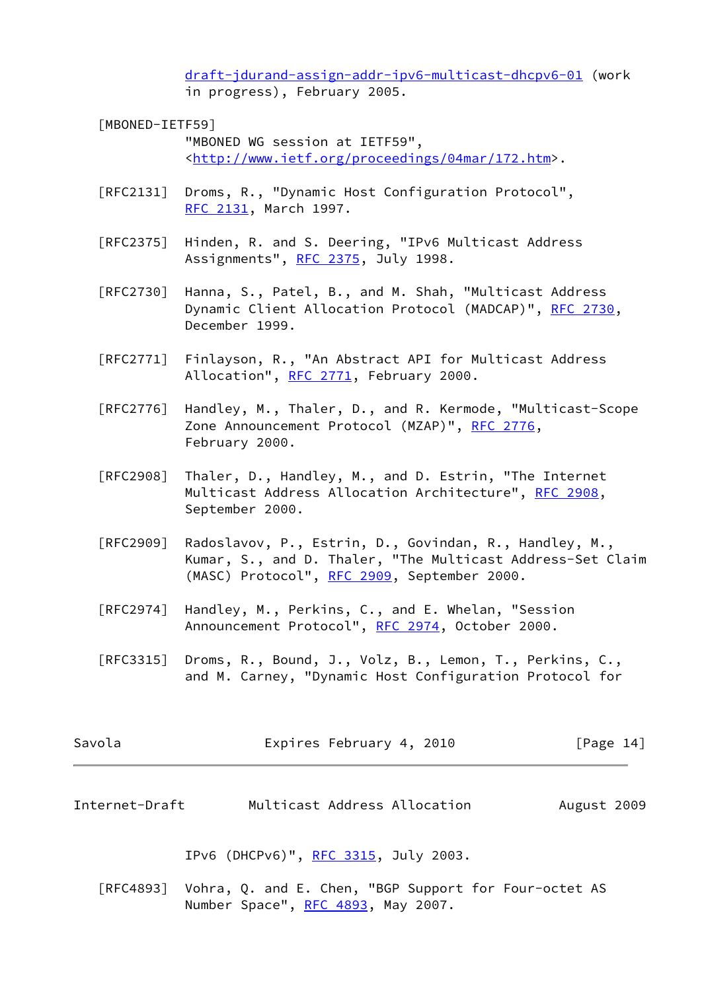[draft-jdurand-assign-addr-ipv6-multicast-dhcpv6-01](https://datatracker.ietf.org/doc/pdf/draft-jdurand-assign-addr-ipv6-multicast-dhcpv6-01) (work in progress), February 2005.

# <span id="page-15-1"></span> [MBONED-IETF59] "MBONED WG session at IETF59", <[http://www.ietf.org/proceedings/04mar/172.htm>](http://www.ietf.org/proceedings/04mar/172.htm).

- [RFC2131] Droms, R., "Dynamic Host Configuration Protocol", [RFC 2131,](https://datatracker.ietf.org/doc/pdf/rfc2131) March 1997.
- [RFC2375] Hinden, R. and S. Deering, "IPv6 Multicast Address Assignments", [RFC 2375](https://datatracker.ietf.org/doc/pdf/rfc2375), July 1998.
- [RFC2730] Hanna, S., Patel, B., and M. Shah, "Multicast Address Dynamic Client Allocation Protocol (MADCAP)", [RFC 2730](https://datatracker.ietf.org/doc/pdf/rfc2730), December 1999.
- [RFC2771] Finlayson, R., "An Abstract API for Multicast Address Allocation", [RFC 2771](https://datatracker.ietf.org/doc/pdf/rfc2771), February 2000.
- [RFC2776] Handley, M., Thaler, D., and R. Kermode, "Multicast-Scope Zone Announcement Protocol (MZAP)", [RFC 2776,](https://datatracker.ietf.org/doc/pdf/rfc2776) February 2000.
- [RFC2908] Thaler, D., Handley, M., and D. Estrin, "The Internet Multicast Address Allocation Architecture", [RFC 2908,](https://datatracker.ietf.org/doc/pdf/rfc2908) September 2000.
- [RFC2909] Radoslavov, P., Estrin, D., Govindan, R., Handley, M., Kumar, S., and D. Thaler, "The Multicast Address-Set Claim (MASC) Protocol", [RFC 2909](https://datatracker.ietf.org/doc/pdf/rfc2909), September 2000.
- [RFC2974] Handley, M., Perkins, C., and E. Whelan, "Session Announcement Protocol", [RFC 2974,](https://datatracker.ietf.org/doc/pdf/rfc2974) October 2000.
- [RFC3315] Droms, R., Bound, J., Volz, B., Lemon, T., Perkins, C., and M. Carney, "Dynamic Host Configuration Protocol for

| Expires February 4, 2010 | [Page 14] |
|--------------------------|-----------|
|                          |           |

<span id="page-15-0"></span>Internet-Draft Multicast Address Allocation August 2009

IPv6 (DHCPv6)", [RFC 3315,](https://datatracker.ietf.org/doc/pdf/rfc3315) July 2003.

 [RFC4893] Vohra, Q. and E. Chen, "BGP Support for Four-octet AS Number Space", [RFC 4893](https://datatracker.ietf.org/doc/pdf/rfc4893), May 2007.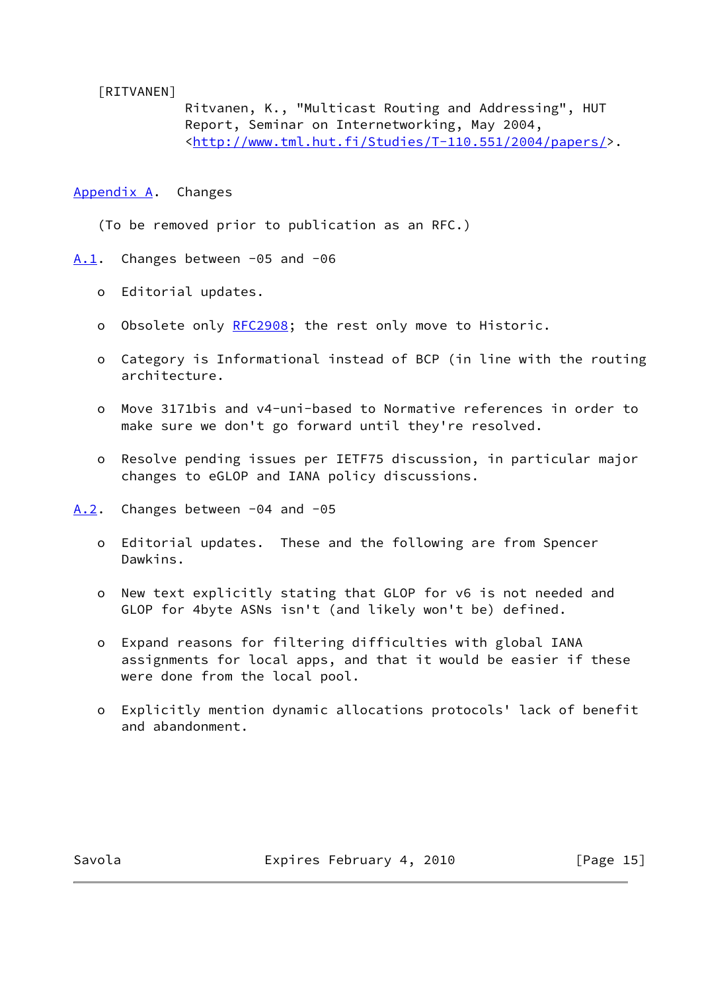<span id="page-16-3"></span>[RITVANEN]

 Ritvanen, K., "Multicast Routing and Addressing", HUT Report, Seminar on Internetworking, May 2004, <[http://www.tml.hut.fi/Studies/T-110.551/2004/papers/>](http://www.tml.hut.fi/Studies/T-110.551/2004/papers/).

<span id="page-16-0"></span>[Appendix A.](#page-16-0) Changes

(To be removed prior to publication as an RFC.)

<span id="page-16-1"></span>[A.1](#page-16-1). Changes between -05 and -06

- o Editorial updates.
- o Obsolete only [RFC2908](https://datatracker.ietf.org/doc/pdf/rfc2908); the rest only move to Historic.
- o Category is Informational instead of BCP (in line with the routing architecture.
- o Move 3171bis and v4-uni-based to Normative references in order to make sure we don't go forward until they're resolved.
- o Resolve pending issues per IETF75 discussion, in particular major changes to eGLOP and IANA policy discussions.

<span id="page-16-2"></span>[A.2](#page-16-2). Changes between -04 and -05

- o Editorial updates. These and the following are from Spencer Dawkins.
- o New text explicitly stating that GLOP for v6 is not needed and GLOP for 4byte ASNs isn't (and likely won't be) defined.
- o Expand reasons for filtering difficulties with global IANA assignments for local apps, and that it would be easier if these were done from the local pool.
- o Explicitly mention dynamic allocations protocols' lack of benefit and abandonment.

Savola **Expires February 4, 2010** [Page 15]